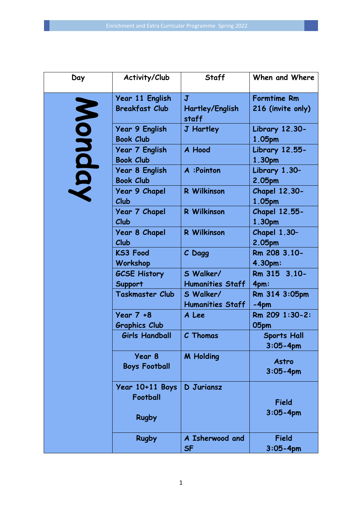| Day    | Activity/Club                             | <b>Staff</b>                         | When and Where                     |
|--------|-------------------------------------------|--------------------------------------|------------------------------------|
|        | Year 11 English                           | J                                    | <b>Formtime Rm</b>                 |
|        | <b>Breakfast Club</b>                     | <b>Hartley/English</b><br>staff      | 216 (invite only)                  |
|        | <b>Year 9 English</b><br><b>Book Club</b> | <b>J</b> Hartley                     | <b>Library 12.30-</b><br>1.05pm    |
| Monday | <b>Year 7 English</b><br><b>Book Club</b> | A Hood                               | <b>Library 12.55-</b><br>1.30pm    |
|        | Year 8 English<br><b>Book Club</b>        | A :Pointon                           | Library 1.30-<br>2.05pm            |
|        | <b>Year 9 Chapel</b><br>Club              | <b>R</b> Wilkinson                   | <b>Chapel 12.30-</b><br>1.05pm     |
|        | Year 7 Chapel<br>Club                     | <b>R</b> Wilkinson                   | <b>Chapel 12.55-</b><br>1.30pm     |
|        | <b>Year 8 Chapel</b><br>Club              | <b>R</b> Wilkinson                   | <b>Chapel 1.30-</b><br>2.05pm      |
|        | <b>KS3 Food</b><br>Workshop               | C Dagg                               | Rm 208 3.10-<br>4.30pm:            |
|        | <b>GCSE History</b><br>Support            | S Walker/<br><b>Humanities Staff</b> | Rm 315 3.10-<br>4pm:               |
|        | <b>Taskmaster Club</b>                    | S Walker/<br><b>Humanities Staff</b> | Rm 314 3:05pm<br>$-4pm$            |
|        | Year 7 +8<br><b>Graphics Club</b>         | A Lee                                | Rm 209 1:30-2:<br>05pm             |
|        | <b>Girls Handball</b>                     | C Thomas                             | <b>Sports Hall</b><br>$3:05 - 4pm$ |
|        | Year 8<br><b>Boys Football</b>            | <b>M</b> Holding                     | Astro<br>$3:05 - 4pm$              |
|        | Year 10+11 Boys<br>Football               | D Juriansz                           | <b>Field</b>                       |
|        | <b>Rugby</b>                              |                                      | $3:05 - 4pm$                       |
|        | <b>Rugby</b>                              | A Isherwood and<br><b>SF</b>         | <b>Field</b><br>$3:05 - 4pm$       |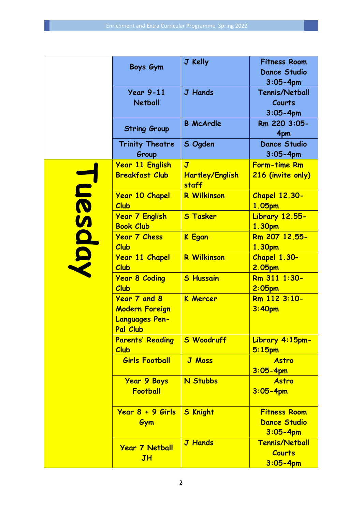|                | Boys Gym                                                                   | J Kelly                                                    | <b>Fitness Room</b><br><b>Dance Studio</b><br>$3:05 - 4pm$ |
|----------------|----------------------------------------------------------------------------|------------------------------------------------------------|------------------------------------------------------------|
|                | <b>Year 9-11</b><br><b>Netball</b>                                         | <b>J</b> Hands                                             | <b>Tennis/Netball</b><br>Courts<br>$3:05 - 4pm$            |
|                | <b>String Group</b>                                                        | <b>B</b> McArdle                                           | Rm 220 3:05-<br>4pm                                        |
|                | <b>Trinity Theatre</b><br>Group                                            | S Ogden                                                    | <b>Dance Studio</b><br>$3:05 - 4pm$                        |
| <b>Luesday</b> | <u>Year 11 English</u><br><b>Breakfast Club</b>                            | $\overline{\mathbf{J}}$<br><b>Hartley/English</b><br>staff | <b>Form-time Rm</b><br>216 (invite only)                   |
|                | <b>Year 10 Chapel</b><br>Club                                              | <b>R Wilkinson</b>                                         | <b>Chapel 12.30-</b><br>1.05pm                             |
|                | <b>Year 7 English</b><br><b>Book Club</b>                                  | <b>S Tasker</b>                                            | <b>Library 12.55-</b><br>1.30pm                            |
|                | <b>Year 7 Chess</b><br>Club                                                | <b>K</b> Egan                                              | Rm 207 12.55-<br>1.30pm                                    |
|                | <b>Year 11 Chapel</b><br>Club                                              | <b>R Wilkinson</b>                                         | <b>Chapel 1.30-</b><br>2.05pm                              |
|                | <b>Year 8 Coding</b><br>Club                                               | <b>S Hussain</b>                                           | Rm 311 1:30-<br>$2:05$ pm                                  |
|                | Year 7 and 8<br><b>Modern Foreign</b><br><b>Languages Pen-</b><br>Pal Club | <b>K Mercer</b>                                            | Rm 112 3:10-<br>3:40pm                                     |
|                | <b>Parents' Reading</b><br>Club                                            | <b>S Woodruff</b>                                          | Library 4:15pm-<br>$5:15$ pm                               |
|                | <b>Girls Football</b>                                                      | <b>J Moss</b>                                              | Astro<br>$3:05 - 4pm$                                      |
|                | <b>Year 9 Boys</b><br>Football                                             | <b>N Stubbs</b>                                            | <b>Astro</b><br>$3:05 - 4pm$                               |
|                | <u> Year 8 + 9 Girls</u><br>Gym                                            | <b>S Knight</b>                                            | <b>Fitness Room</b><br><b>Dance Studio</b><br>$3:05 - 4pm$ |
|                | <b>Year 7 Netball</b><br>JH                                                | <b>J Hands</b>                                             | <b>Tennis/Netball</b><br><b>Courts</b><br>$3:05 - 4pm$     |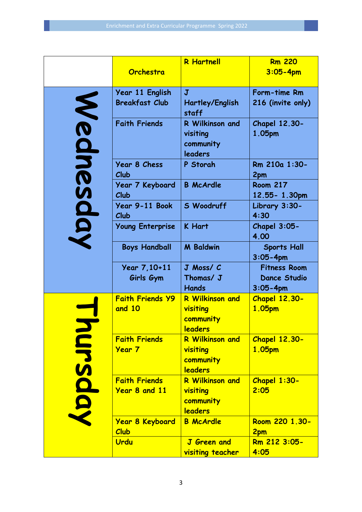|           | Orchestra                                    | <b>R</b> Hartnell                                          | <b>Rm 220</b><br>$3:05 - 4pm$                              |
|-----------|----------------------------------------------|------------------------------------------------------------|------------------------------------------------------------|
|           |                                              |                                                            |                                                            |
|           | Year 11 English                              | $\mathbf{J}$                                               | Form-time Rm                                               |
|           | <b>Breakfast Club</b>                        | Hartley/English<br>staff                                   | 216 (invite only)                                          |
| Wednesday | <b>Faith Friends</b>                         | R Wilkinson and<br>visiting<br>community<br>leaders        | <b>Chapel 12.30-</b><br>1.05pm                             |
|           | <b>Year 8 Chess</b><br>Club                  | P Storah                                                   | Rm 210a 1:30-<br>2pm                                       |
|           | Year 7 Keyboard<br>Club                      | <b>B</b> McArdle                                           | <b>Room 217</b><br>12.55-1.30pm                            |
|           | Year 9-11 Book<br>Club                       | S Woodruff                                                 | Library 3:30-<br>4:30                                      |
|           | <b>Young Enterprise</b>                      | <b>K</b> Hart                                              | Chapel $3:05-$<br>4.00                                     |
|           | <b>Boys Handball</b>                         | <b>M</b> Baldwin                                           | <b>Sports Hall</b><br>$3:05 - 4pm$                         |
|           | Year 7, 10+11<br>Girls Gym                   | J Moss/ C<br>Thomas/ J<br><b>Hands</b>                     | <b>Fitness Room</b><br><b>Dance Studio</b><br>$3:05 - 4pm$ |
| ursday    | <b>Faith Friends Y9</b><br>and 10            | <b>R Wilkinson and</b><br>visiting<br>community<br>leaders | <b>Chapel 12.30-</b><br>1.05pm                             |
|           | <b>Faith Friends</b><br><b>Year 7</b>        | <b>R Wilkinson and</b><br>visiting<br>community<br>leaders | <b>Chapel 12.30-</b><br>1.05pm                             |
|           | <b>Faith Friends</b><br><b>Year 8 and 11</b> | <b>R Wilkinson and</b><br>visiting<br>community<br>leaders | Chapel 1:30-<br>2:05                                       |
|           | <b>Year 8 Keyboard</b><br>Club               | <b>B</b> McArdle                                           | Room 220 1.30-<br>2pm                                      |
|           | Urdu                                         | <b>J</b> Green and<br><b>visiting teacher</b>              | Rm 212 3:05-<br>4:05                                       |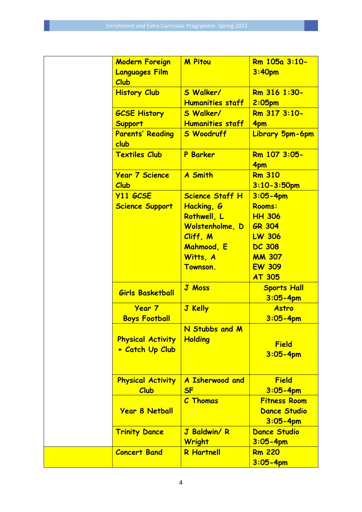| <b>Modern Foreign</b><br><b>Languages Film</b><br>Club | <b>M</b> Pitou                                                                                                                            | Rm 105a 3:10-<br>3:40pm                                                                                                                |
|--------------------------------------------------------|-------------------------------------------------------------------------------------------------------------------------------------------|----------------------------------------------------------------------------------------------------------------------------------------|
| <b>History Club</b>                                    | S Walker/<br><b>Humanities staff</b>                                                                                                      | Rm 316 1:30-<br>$2:05$ pm                                                                                                              |
| <b>GCSE History</b><br><b>Support</b>                  | S Walker/<br><b>Humanities staff</b>                                                                                                      | Rm 317 3:10-<br>4pm                                                                                                                    |
| <b>Parents' Reading</b><br>club                        | <b>S Woodruff</b>                                                                                                                         | Library 5pm-6pm                                                                                                                        |
| <b>Textiles Club</b>                                   | <b>P</b> Barker                                                                                                                           | Rm 107 3:05-<br>4pm                                                                                                                    |
| <b>Year 7 Science</b><br>Club                          | <b>A Smith</b>                                                                                                                            | <b>Rm 310</b><br>$3:10 - 3:50$ pm                                                                                                      |
| <b>Y11 GCSE</b><br><b>Science Support</b>              | <b>Science Staff H</b><br>Hacking, G<br>Rothwell, L<br>Wolstenholme, D<br>Cliff, M<br>Mahmood, E<br>Witts, A<br>Townson.<br><b>J Moss</b> | $3:05 - 4pm$<br>Rooms:<br><b>HH 306</b><br>GR 304<br><b>LW 306</b><br><b>DC 308</b><br><b>MM 307</b><br><b>EW 309</b><br><b>AT 305</b> |
| <b>Girls Basketball</b>                                |                                                                                                                                           | <b>Sports Hall</b><br>$3:05 - 4pm$                                                                                                     |
| <b>Year 7</b><br><b>Boys Football</b>                  | <b>J</b> Kelly                                                                                                                            | <b>Astro</b><br>$3:05 - 4pm$                                                                                                           |
| <b>Physical Activity</b><br>+ Catch Up Club            | N Stubbs and M<br>Holding                                                                                                                 | <b>Field</b><br>$3:05 - 4pm$                                                                                                           |
| <b>Physical Activity</b><br>Club                       | A Isherwood and<br><b>SF</b>                                                                                                              | <b>Field</b><br>$3:05 - 4pm$                                                                                                           |
| <b>Year 8 Netball</b>                                  | <b>C</b> Thomas                                                                                                                           | <b>Fitness Room</b><br><b>Dance Studio</b><br>$3:05 - 4pm$                                                                             |
| <b>Trinity Dance</b>                                   | J Baldwin/R<br>Wright                                                                                                                     | <b>Dance Studio</b><br>$3:05 - 4pm$                                                                                                    |
| <b>Concert Band</b>                                    | <b>R</b> Hartnell                                                                                                                         | <b>Rm 220</b><br>$3:05 - 4pm$                                                                                                          |